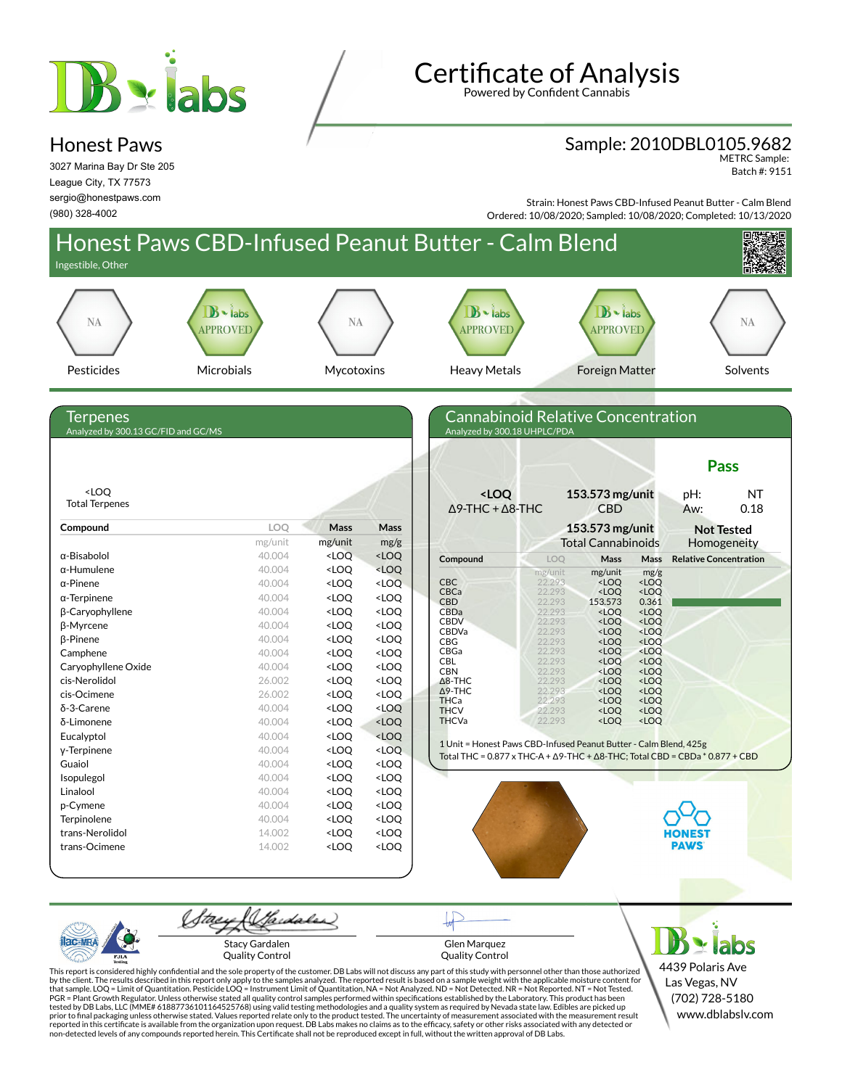

## Honest Paws

3027 Marina Bay Dr Ste 205 League City, TX 77573 sergio@honestpaws.com (980) 328-4002

**Certificate of Analysis** Powered by Confident Cannabis

Sample: 2010DBL0105.9682

METRC Sample: Batch #: 9151

Strain: Honest Paws CBD-Infused Peanut Butter - Calm Blend



This report is considered highly confidential and the sole property of the customer. DB Labs will not discuss any part of this study with personnel other than those authorized<br>by the client. The results described in this PGR = Plant Growth Regulator. Unless otherwise stated all quality control samples performed within specifications established by the Laboratory. This product has been tested by DB Labs, LLC (MME# 61887736101164525768) using valid testing methodologies and a quality system as required by Nevada state law. Edibles are picked up<br>prior to final packaging unless otherwise stated. Values repo reported in this certificate is available from the organization upon request. DB Labs makes no claims as to the efficacy, safety or other risks associated with any detected or<br>non-detected levels of any compounds reported

Las Vegas, NV (702) 728-5180 www.dblabslv.com